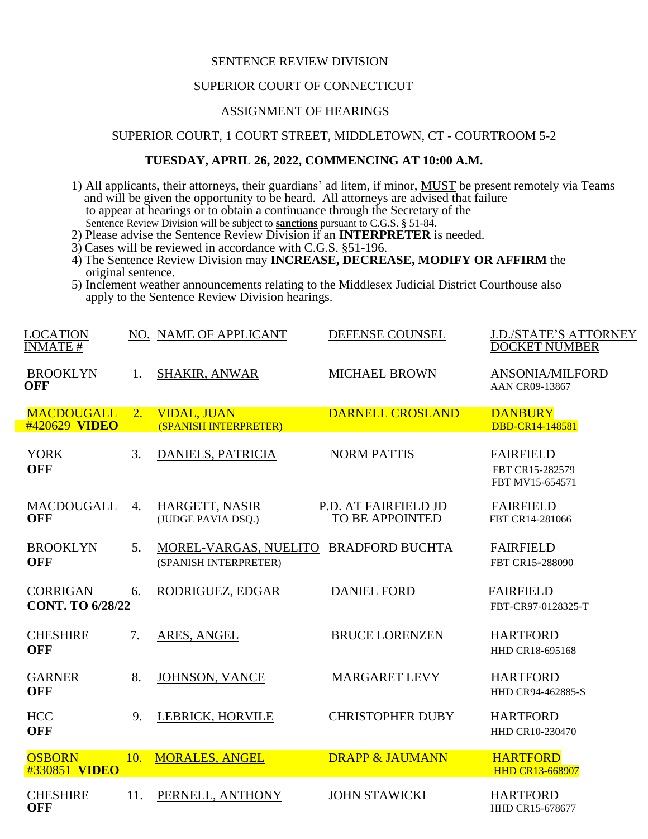## SENTENCE REVIEW DIVISION

### SUPERIOR COURT OF CONNECTICUT

# ASSIGNMENT OF HEARINGS

### SUPERIOR COURT, 1 COURT STREET, MIDDLETOWN, CT - COURTROOM 5-2

## **TUESDAY, APRIL 26, 2022, COMMENCING AT 10:00 A.M.**

- 1) All applicants, their attorneys, their guardians' ad litem, if minor, MUST be present remotely via Teams and will be given the opportunity to be heard. All attorneys are advised that failure to appear at hearings or to obtain a continuance through the Secretary of the Sentence Review Division will be subject to **sanctions** pursuant to C.G.S. § 51-84.
- 2) Please advise the Sentence Review Division if an **INTERPRETER** is needed.
- 3) Cases will be reviewed in accordance with C.G.S. §51-196.
- 4) The Sentence Review Division may **INCREASE, DECREASE, MODIFY OR AFFIRM** the original sentence.
- 5) Inclement weather announcements relating to the Middlesex Judicial District Courthouse also apply to the Sentence Review Division hearings.

| <b>LOCATION</b><br><b>INMATE#</b>          |                | NO. NAME OF APPLICANT                                          | DEFENSE COUNSEL                                | <b>J.D./STATE'S ATTORNEY</b><br><b>DOCKET NUMBER</b>   |
|--------------------------------------------|----------------|----------------------------------------------------------------|------------------------------------------------|--------------------------------------------------------|
| <b>BROOKLYN</b><br><b>OFF</b>              | $\mathbf{1}$ . | <b>SHAKIR, ANWAR</b>                                           | <b>MICHAEL BROWN</b>                           | ANSONIA/MILFORD<br>AAN CR09-13867                      |
| <b>MACDOUGALL</b><br>#420629 VIDEO         | 2.             | <b>VIDAL, JUAN</b><br>(SPANISH INTERPRETER)                    | <b>DARNELL CROSLAND</b>                        | <b>DANBURY</b><br>DBD-CR14-148581                      |
| <b>YORK</b><br><b>OFF</b>                  | 3.             | <b>DANIELS, PATRICIA</b>                                       | <b>NORM PATTIS</b>                             | <b>FAIRFIELD</b><br>FBT CR15-282579<br>FBT MV15-654571 |
| <b>MACDOUGALL</b><br><b>OFF</b>            | 4.             | HARGETT, NASIR<br>(JUDGE PAVIA DSQ.)                           | P.D. AT FAIRFIELD JD<br><b>TO BE APPOINTED</b> | <b>FAIRFIELD</b><br>FBT CR14-281066                    |
| <b>BROOKLYN</b><br><b>OFF</b>              | 5.             | MOREL-VARGAS, NUELITO BRADFORD BUCHTA<br>(SPANISH INTERPRETER) |                                                | <b>FAIRFIELD</b><br>FBT CR15-288090                    |
| <b>CORRIGAN</b><br><b>CONT. TO 6/28/22</b> | 6.             | RODRIGUEZ, EDGAR                                               | <b>DANIEL FORD</b>                             | <b>FAIRFIELD</b><br>FBT-CR97-0128325-T                 |
| <b>CHESHIRE</b><br><b>OFF</b>              | 7.             | ARES, ANGEL                                                    | <b>BRUCE LORENZEN</b>                          | <b>HARTFORD</b><br>HHD CR18-695168                     |
| <b>GARNER</b><br><b>OFF</b>                | 8.             | JOHNSON, VANCE                                                 | <b>MARGARET LEVY</b>                           | <b>HARTFORD</b><br>HHD CR94-462885-S                   |
| <b>HCC</b><br><b>OFF</b>                   | 9.             | LEBRICK, HORVILE                                               | <b>CHRISTOPHER DUBY</b>                        | <b>HARTFORD</b><br>HHD CR10-230470                     |
| <b>OSBORN</b><br>#330851 VIDEO             | 10.            | <b>MORALES, ANGEL</b>                                          | <b>DRAPP &amp; JAUMANN</b>                     | <b>HARTFORD</b><br><b>HHD CR13-668907</b>              |
| <b>CHESHIRE</b><br><b>OFF</b>              | 11.            | PERNELL, ANTHONY                                               | <b>JOHN STAWICKI</b>                           | <b>HARTFORD</b><br>HHD CR15-678677                     |